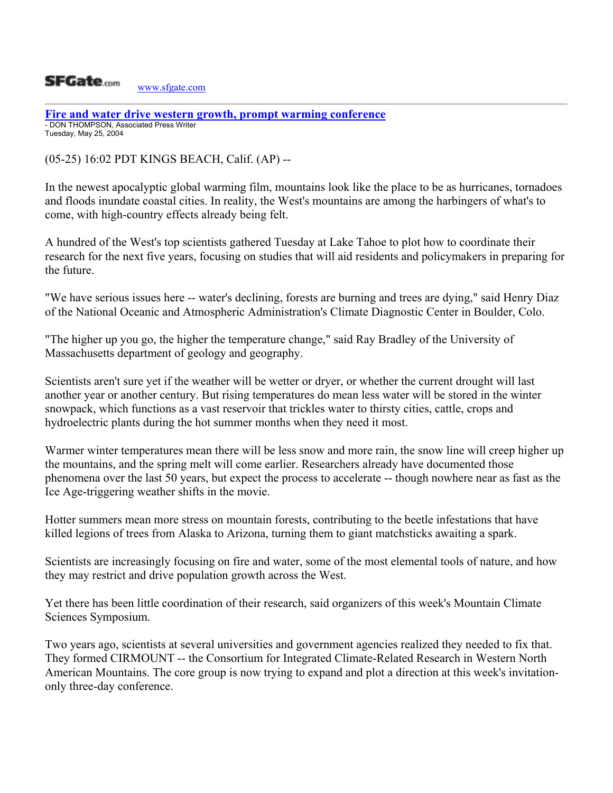

**[Fire and water drive western growth, prompt warming conference](http://www.sfgate.com/cgi-bin/article.cgi?file=/news/archive/2004/05/25/state1902EDT7701.DTL)** - DON THOMPSON, Associated Press Writer Tuesday, May 25, 2004

(05-25) 16:02 PDT KINGS BEACH, Calif. (AP) --

In the newest apocalyptic global warming film, mountains look like the place to be as hurricanes, tornadoes and floods inundate coastal cities. In reality, the West's mountains are among the harbingers of what's to come, with high-country effects already being felt.

A hundred of the West's top scientists gathered Tuesday at Lake Tahoe to plot how to coordinate their research for the next five years, focusing on studies that will aid residents and policymakers in preparing for the future.

"We have serious issues here -- water's declining, forests are burning and trees are dying," said Henry Diaz of the National Oceanic and Atmospheric Administration's Climate Diagnostic Center in Boulder, Colo.

"The higher up you go, the higher the temperature change," said Ray Bradley of the University of Massachusetts department of geology and geography.

Scientists aren't sure yet if the weather will be wetter or dryer, or whether the current drought will last another year or another century. But rising temperatures do mean less water will be stored in the winter snowpack, which functions as a vast reservoir that trickles water to thirsty cities, cattle, crops and hydroelectric plants during the hot summer months when they need it most.

Warmer winter temperatures mean there will be less snow and more rain, the snow line will creep higher up the mountains, and the spring melt will come earlier. Researchers already have documented those phenomena over the last 50 years, but expect the process to accelerate -- though nowhere near as fast as the Ice Age-triggering weather shifts in the movie.

Hotter summers mean more stress on mountain forests, contributing to the beetle infestations that have killed legions of trees from Alaska to Arizona, turning them to giant matchsticks awaiting a spark.

Scientists are increasingly focusing on fire and water, some of the most elemental tools of nature, and how they may restrict and drive population growth across the West.

Yet there has been little coordination of their research, said organizers of this week's Mountain Climate Sciences Symposium.

Two years ago, scientists at several universities and government agencies realized they needed to fix that. They formed CIRMOUNT -- the Consortium for Integrated Climate-Related Research in Western North American Mountains. The core group is now trying to expand and plot a direction at this week's invitationonly three-day conference.